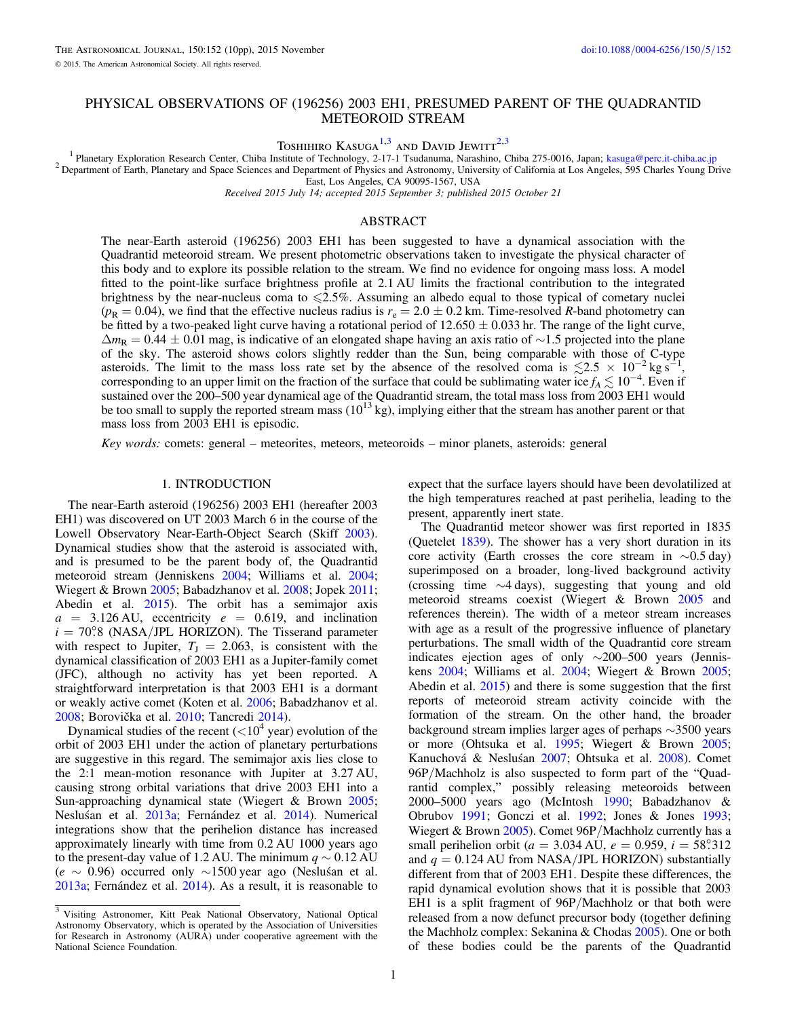# PHYSICAL OBSERVATIONS OF (196256) 2003 EH1, PRESUMED PARENT OF THE QUADRANTID METEOROID STREAM

TOSHIHIRO KASUGA<sup>1,3</sup> AND DAVID JEWITT<sup>2,3</sup>

<sup>1</sup> Planetary Exploration Research Center, Chiba Institute of Technology, 2-17-1 Tsudanuma, Narashino, Chiba 275-0016, Japan; kasuga@perc.it-chiba.ac.jp<br><sup>2</sup> Department of Earth, Planetary and Space Sciences and Department

East, Los Angeles, CA 90095-1567, USA

Received 2015 July 14; accepted 2015 September 3; published 2015 October 21

## ABSTRACT

The near-Earth asteroid (196256) 2003 EH1 has been suggested to have a dynamical association with the Quadrantid meteoroid stream. We present photometric observations taken to investigate the physical character of this body and to explore its possible relation to the stream. We find no evidence for ongoing mass loss. A model fitted to the point-like surface brightness profile at 2.1 AU limits the fractional contribution to the integrated brightness by the near-nucleus coma to  $\leq 2.5\%$ . Assuming an albedo equal to those typical of cometary nuclei  $(p_R = 0.04)$ , we find that the effective nucleus radius is  $r_e = 2.0 \pm 0.2$  km. Time-resolved R-band photometry can be fitted by a two-peaked light curve having a rotational period of  $12.650 \pm 0.033$  hr. The range of the light curve,  $\Delta m_R = 0.44 \pm 0.01$  mag, is indicative of an elongated shape having an axis ratio of ∼1.5 projected into the plane of the sky. The asteroid shows colors slightly redder than the Sun, being comparable with those of C-type asteroids. The limit to the mass loss rate set by the absence of the resolved coma is  $\lesssim 2.5 \times 10^{-2}$  kg s<sup>-1</sup>, corresponding to an upper limit on the fraction of the surface that could be sublimating water ice  $f_A \lesssim 10^{-4}$ . Even if sustained over the 200–500 year dynamical age of the Quadrantid stream, the total mass loss from 2003 EH1 would be too small to supply the reported stream mass  $(10^{13}$  kg), implying either that the stream has another parent or that mass loss from 2003 EH1 is episodic.

Key words: comets: general – meteorites, meteors, meteoroids – minor planets, asteroids: general

#### 1. INTRODUCTION

The near-Earth asteroid (196256) 2003 EH1 (hereafter 2003 EH1) was discovered on UT 2003 March 6 in the course of the Lowell Observatory Near-Earth-Object Search (Skiff 2003). Dynamical studies show that the asteroid is associated with, and is presumed to be the parent body of, the Quadrantid meteoroid stream (Jenniskens 2004; Williams et al. 2004; Wiegert & Brown 2005; Babadzhanov et al. 2008; Jopek 2011; Abedin et al. 2015). The orbit has a semimajor axis  $a = 3.126$  AU, eccentricity  $e = 0.619$ , and inclination  $i = 70^{\circ}$ 8 (NASA/JPL HORIZON). The Tisserand parameter with respect to Jupiter,  $T_J = 2.063$ , is consistent with the dynamical classification of 2003 EH1 as a Jupiter-family comet (JFC), although no activity has yet been reported. A straightforward interpretation is that 2003 EH1 is a dormant or weakly active comet (Koten et al. 2006; Babadzhanov et al. 2008; Borovička et al. 2010; Tancredi 2014).

Dynamical studies of the recent  $(<10<sup>4</sup>$  year) evolution of the orbit of 2003 EH1 under the action of planetary perturbations are suggestive in this regard. The semimajor axis lies close to the 2:1 mean-motion resonance with Jupiter at 3.27 AU, causing strong orbital variations that drive 2003 EH1 into a Sun-approaching dynamical state (Wiegert & Brown 2005; Nesluśan et al. 2013a; Fernández et al. 2014). Numerical integrations show that the perihelion distance has increased approximately linearly with time from 0.2 AU 1000 years ago to the present-day value of 1.2 AU. The minimum  $q \sim 0.12$  AU  $(e \sim 0.96)$  occurred only ∼1500 year ago (Nesluśan et al. 2013a; Fernández et al. 2014). As a result, it is reasonable to

expect that the surface layers should have been devolatilized at the high temperatures reached at past perihelia, leading to the present, apparently inert state.

The Quadrantid meteor shower was first reported in 1835 (Quetelet 1839). The shower has a very short duration in its core activity (Earth crosses the core stream in ∼0.5 day) superimposed on a broader, long-lived background activity (crossing time ∼4 days), suggesting that young and old meteoroid streams coexist (Wiegert & Brown 2005 and references therein). The width of a meteor stream increases with age as a result of the progressive influence of planetary perturbations. The small width of the Quadrantid core stream indicates ejection ages of only ∼200–500 years (Jenniskens 2004; Williams et al. 2004; Wiegert & Brown 2005; Abedin et al. 2015) and there is some suggestion that the first reports of meteoroid stream activity coincide with the formation of the stream. On the other hand, the broader background stream implies larger ages of perhaps ∼3500 years or more (Ohtsuka et al. 1995; Wiegert & Brown 2005; Kanuchová & Nesluśan 2007; Ohtsuka et al. 2008). Comet 96P/Machholz is also suspected to form part of the "Quadrantid complex," possibly releasing meteoroids between 2000–5000 years ago (McIntosh 1990; Babadzhanov & Obrubov 1991; Gonczi et al. 1992; Jones & Jones 1993; Wiegert & Brown 2005). Comet 96P/Machholz currently has a small perihelion orbit ( $a = 3.034$  AU,  $e = 0.959$ ,  $i = 58^\circ 312$ ) and  $q = 0.124$  AU from NASA/JPL HORIZON) substantially different from that of 2003 EH1. Despite these differences, the rapid dynamical evolution shows that it is possible that 2003 EH1 is a split fragment of 96P/Machholz or that both were released from a now defunct precursor body (together defining the Machholz complex: Sekanina & Chodas 2005). One or both of these bodies could be the parents of the Quadrantid

<sup>&</sup>lt;sup>3</sup> Visiting Astronomer, Kitt Peak National Observatory, National Optical Astronomy Observatory, which is operated by the Association of Universities for Research in Astronomy (AURA) under cooperative agreement with the National Science Foundation.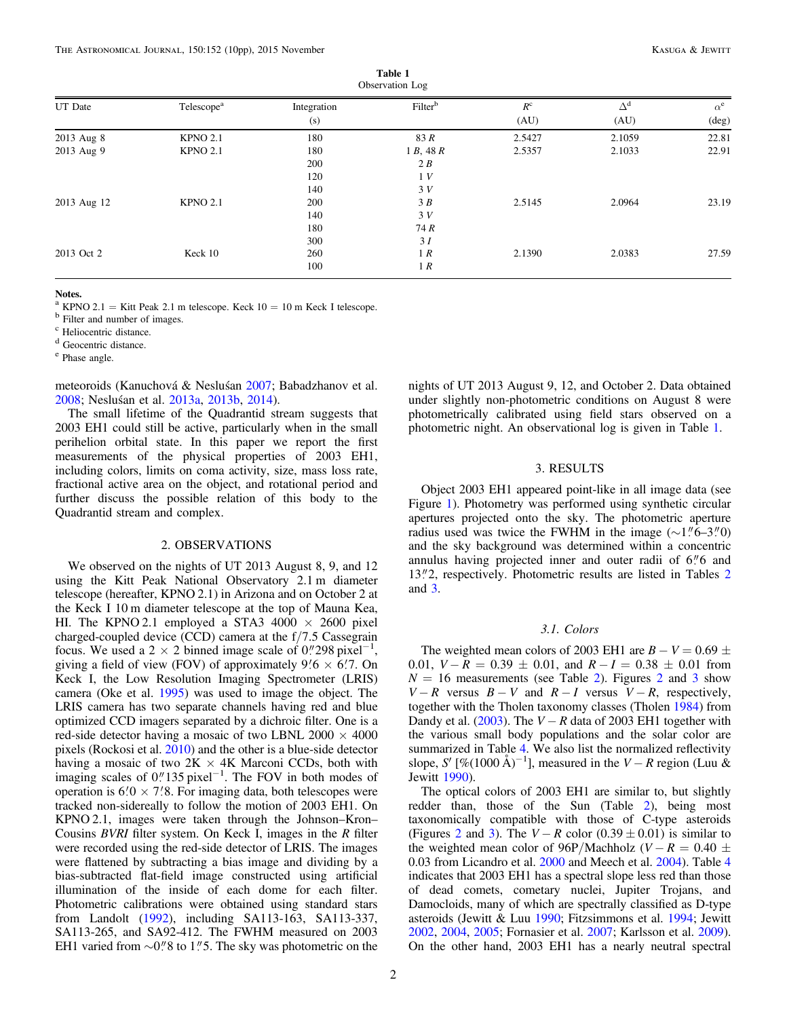| Observation Log |                        |                    |                     |                     |                    |                     |
|-----------------|------------------------|--------------------|---------------------|---------------------|--------------------|---------------------|
| UT Date         | Telescope <sup>a</sup> | Integration<br>(s) | Filter <sup>b</sup> | $R^{\rm c}$<br>(AU) | $\Delta^d$<br>(AU) | $\alpha^e$<br>(deg) |
| 2013 Aug 8      | <b>KPNO 2.1</b>        | 180                | 83 R                | 2.5427              | 2.1059             | 22.81               |
| 2013 Aug 9      | <b>KPNO 2.1</b>        | 180                | 1 B, 48 R           | 2.5357              | 2.1033             | 22.91               |
|                 |                        | 200                | 2B                  |                     |                    |                     |
|                 |                        | 120                | 1V                  |                     |                    |                     |
|                 |                        | 140                | 3V                  |                     |                    |                     |
| 2013 Aug 12     | <b>KPNO 2.1</b>        | 200                | 3B                  | 2.5145              | 2.0964             | 23.19               |
|                 |                        | 140                | 3V                  |                     |                    |                     |
|                 |                        | 180                | 74 R                |                     |                    |                     |
|                 |                        | 300                | 3I                  |                     |                    |                     |
| 2013 Oct 2      | Keck 10                | 260                | 1 R                 | 2.1390              | 2.0383             | 27.59               |
|                 |                        | 100                | 1R                  |                     |                    |                     |

Table 1

Notes.

<sup>a</sup> KPNO 2.1 = Kitt Peak 2.1 m telescope. Keck  $10 = 10$  m Keck I telescope. b Filter and number of images.

<sup>c</sup> Heliocentric distance.

<sup>d</sup> Geocentric distance.

<sup>e</sup> Phase angle.

meteoroids (Kanuchová & Nesluśan 2007; Babadzhanov et al. 2008; Nesluśan et al. 2013a, 2013b, 2014).

The small lifetime of the Quadrantid stream suggests that 2003 EH1 could still be active, particularly when in the small perihelion orbital state. In this paper we report the first measurements of the physical properties of 2003 EH1, including colors, limits on coma activity, size, mass loss rate, fractional active area on the object, and rotational period and further discuss the possible relation of this body to the Quadrantid stream and complex.

#### 2. OBSERVATIONS

We observed on the nights of UT 2013 August 8, 9, and 12 using the Kitt Peak National Observatory 2.1 m diameter telescope (hereafter, KPNO 2.1) in Arizona and on October 2 at the Keck I 10 m diameter telescope at the top of Mauna Kea, HI. The KPNO 2.1 employed a STA3 4000  $\times$  2600 pixel charged-coupled device (CCD) camera at the f/7.5 Cassegrain focus. We used a 2  $\times$  2 binned image scale of 0."298 pixel<sup>-1</sup>, giving a field of view (FOV) of approximately  $9/6 \times 6/7$ . On Keck I, the Low Resolution Imaging Spectrometer (LRIS) camera (Oke et al. 1995) was used to image the object. The LRIS camera has two separate channels having red and blue optimized CCD imagers separated by a dichroic filter. One is a red-side detector having a mosaic of two LBNL 2000  $\times$  4000 pixels (Rockosi et al. 2010) and the other is a blue-side detector having a mosaic of two  $2K \times 4K$  Marconi CCDs, both with imaging scales of  $0$ ." 135 pixel<sup>-1</sup>. The FOV in both modes of operation is  $6′0 \times 7′8$ . For imaging data, both telescopes were tracked non-sidereally to follow the motion of 2003 EH1. On KPNO 2.1, images were taken through the Johnson–Kron– Cousins BVRI filter system. On Keck I, images in the R filter were recorded using the red-side detector of LRIS. The images were flattened by subtracting a bias image and dividing by a bias-subtracted flat-field image constructed using artificial illumination of the inside of each dome for each filter. Photometric calibrations were obtained using standard stars from Landolt (1992), including SA113-163, SA113-337, SA113-265, and SA92-412. The FWHM measured on 2003 EH1 varied from  $\sim$ 0."8 to 1."5. The sky was photometric on the

nights of UT 2013 August 9, 12, and October 2. Data obtained under slightly non-photometric conditions on August 8 were photometrically calibrated using field stars observed on a photometric night. An observational log is given in Table 1.

### 3. RESULTS

Object 2003 EH1 appeared point-like in all image data (see Figure 1). Photometry was performed using synthetic circular apertures projected onto the sky. The photometric aperture radius used was twice the FWHM in the image  $(\sim 1.\,^{\prime\prime}6-3.\,^{\prime\prime}0)$ and the sky background was determined within a concentric annulus having projected inner and outer radii of 6. and 13."2, respectively. Photometric results are listed in Tables 2 and 3.

### 3.1. Colors

The weighted mean colors of 2003 EH1 are  $B - V = 0.69 \pm 1$ 0.01,  $V - R = 0.39 \pm 0.01$ , and  $R - I = 0.38 \pm 0.01$  from  $N = 16$  measurements (see Table 2). Figures 2 and 3 show  $V - R$  versus  $B - V$  and  $R - I$  versus  $V - R$ , respectively, together with the Tholen taxonomy classes (Tholen 1984) from Dandy et al. (2003). The  $V - R$  data of 2003 EH1 together with the various small body populations and the solar color are summarized in Table 4. We also list the normalized reflectivity slope, S' [%(1000 Å)<sup>-1</sup>], measured in the V – R region (Luu & Jewitt 1990).

The optical colors of 2003 EH1 are similar to, but slightly redder than, those of the Sun (Table 2), being most taxonomically compatible with those of C-type asteroids (Figures 2 and 3). The  $V - R$  color (0.39  $\pm$  0.01) is similar to the weighted mean color of 96P/Machholz ( $V - R = 0.40 \pm 1$ 0.03 from Licandro et al. 2000 and Meech et al. 2004). Table 4 indicates that 2003 EH1 has a spectral slope less red than those of dead comets, cometary nuclei, Jupiter Trojans, and Damocloids, many of which are spectrally classified as D-type asteroids (Jewitt & Luu 1990; Fitzsimmons et al. 1994; Jewitt 2002, 2004, 2005; Fornasier et al. 2007; Karlsson et al. 2009). On the other hand, 2003 EH1 has a nearly neutral spectral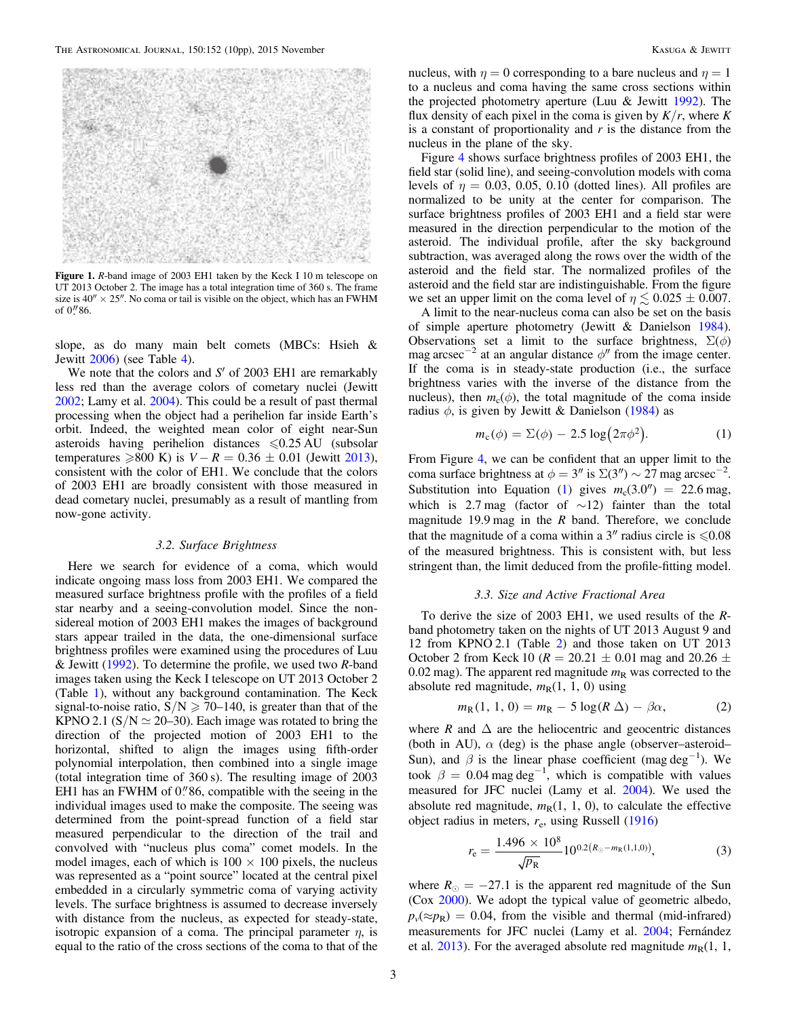

Figure 1. R-band image of 2003 EH1 taken by the Keck I 10 m telescope on UT 2013 October 2. The image has a total integration time of 360 s. The frame size is  $40'' \times 25''$ . No coma or tail is visible on the object, which has an FWHM of  $0''86$ .

slope, as do many main belt comets (MBCs: Hsieh & Jewitt 2006) (see Table 4).

We note that the colors and  $S'$  of 2003 EH1 are remarkably less red than the average colors of cometary nuclei (Jewitt 2002; Lamy et al. 2004). This could be a result of past thermal processing when the object had a perihelion far inside Earth's orbit. Indeed, the weighted mean color of eight near-Sun asteroids having perihelion distances  $\leq 0.25 \text{ AU}$  (subsolar temperatures  $≥800$  K) is  $V - R = 0.36 \pm 0.01$  (Jewitt 2013), consistent with the color of EH1. We conclude that the colors of 2003 EH1 are broadly consistent with those measured in dead cometary nuclei, presumably as a result of mantling from now-gone activity.

### 3.2. Surface Brightness

Here we search for evidence of a coma, which would indicate ongoing mass loss from 2003 EH1. We compared the measured surface brightness profile with the profiles of a field star nearby and a seeing-convolution model. Since the nonsidereal motion of 2003 EH1 makes the images of background stars appear trailed in the data, the one-dimensional surface brightness profiles were examined using the procedures of Luu & Jewitt (1992). To determine the profile, we used two  $R$ -band images taken using the Keck I telescope on UT 2013 October 2 (Table 1), without any background contamination. The Keck signal-to-noise ratio,  $S/N \ge 70-140$ , is greater than that of the KPNO 2.1 (S/N  $\simeq$  20–30). Each image was rotated to bring the direction of the projected motion of 2003 EH1 to the horizontal, shifted to align the images using fifth-order polynomial interpolation, then combined into a single image (total integration time of 360 s). The resulting image of 2003 EH1 has an FWHM of  $0''86$ , compatible with the seeing in the individual images used to make the composite. The seeing was determined from the point-spread function of a field star measured perpendicular to the direction of the trail and convolved with "nucleus plus coma" comet models. In the model images, each of which is  $100 \times 100$  pixels, the nucleus was represented as a "point source" located at the central pixel embedded in a circularly symmetric coma of varying activity levels. The surface brightness is assumed to decrease inversely with distance from the nucleus, as expected for steady-state, isotropic expansion of a coma. The principal parameter  $\eta$ , is equal to the ratio of the cross sections of the coma to that of the

nucleus, with  $\eta = 0$  corresponding to a bare nucleus and  $\eta = 1$ to a nucleus and coma having the same cross sections within the projected photometry aperture (Luu & Jewitt 1992). The flux density of each pixel in the coma is given by  $K/r$ , where K is a constant of proportionality and  $r$  is the distance from the nucleus in the plane of the sky.

Figure 4 shows surface brightness profiles of 2003 EH1, the field star (solid line), and seeing-convolution models with coma levels of  $\eta = 0.03, 0.05, 0.10$  (dotted lines). All profiles are normalized to be unity at the center for comparison. The surface brightness profiles of 2003 EH1 and a field star were measured in the direction perpendicular to the motion of the asteroid. The individual profile, after the sky background subtraction, was averaged along the rows over the width of the asteroid and the field star. The normalized profiles of the asteroid and the field star are indistinguishable. From the figure we set an upper limit on the coma level of  $\eta \lesssim 0.025 \pm 0.007$ .

A limit to the near-nucleus coma can also be set on the basis of simple aperture photometry (Jewitt & Danielson 1984). Observations set a limit to the surface brightness,  $\Sigma(\phi)$ mag arcsec<sup>-2</sup> at an angular distance  $\phi''$  from the image center. If the coma is in steady-state production (i.e., the surface brightness varies with the inverse of the distance from the nucleus), then  $m_c(\phi)$ , the total magnitude of the coma inside radius  $\phi$ , is given by Jewitt & Danielson (1984) as

$$
m_{\rm c}(\phi) = \Sigma(\phi) - 2.5 \log(2\pi\phi^2). \tag{1}
$$

From Figure 4, we can be confident that an upper limit to the coma surface brightness at  $\phi = 3''$  is  $\Sigma(3'') \sim 27$  mag arcsec<sup>-2</sup>. Substitution into Equation (1) gives  $m_c(3.0'') = 22.6$  mag, which is 2.7 mag (factor of  $\sim$ 12) fainter than the total magnitude 19.9 mag in the  $R$  band. Therefore, we conclude that the magnitude of a coma within a  $3''$  radius circle is  $\leq 0.08$ of the measured brightness. This is consistent with, but less stringent than, the limit deduced from the profile-fitting model.

### 3.3. Size and Active Fractional Area

To derive the size of 2003 EH1, we used results of the Rband photometry taken on the nights of UT 2013 August 9 and 12 from KPNO 2.1 (Table 2) and those taken on UT 2013 October 2 from Keck 10 ( $R = 20.21 \pm 0.01$  mag and 20.26  $\pm$ 0.02 mag). The apparent red magnitude  $m<sub>R</sub>$  was corrected to the absolute red magnitude,  $m_R(1, 1, 0)$  using

$$
m_{\rm R}(1, 1, 0) = m_{\rm R} - 5\log(R\,\Delta) - \beta\alpha,\tag{2}
$$

where R and  $\Delta$  are the heliocentric and geocentric distances (both in AU),  $\alpha$  (deg) is the phase angle (observer–asteroid– Sun), and  $\beta$  is the linear phase coefficient (mag deg<sup>-1</sup>). We took  $\beta = 0.04$  mag deg<sup>-1</sup>, which is compatible with values measured for JFC nuclei (Lamy et al. 2004). We used the absolute red magnitude,  $m_R(1, 1, 0)$ , to calculate the effective object radius in meters,  $r_e$ , using Russell (1916)

$$
r_{\rm e} = \frac{1.496 \times 10^8}{\sqrt{p_{\rm R}}} 10^{0.2(R_{\odot} - m_{\rm R}(1,1,0))},\tag{3}
$$

where  $R_{\odot} = -27.1$  is the apparent red magnitude of the Sun (Cox 2000). We adopt the typical value of geometric albedo,  $p_v(\approx p_R) = 0.04$ , from the visible and thermal (mid-infrared) measurements for JFC nuclei (Lamy et al. 2004; Fernández et al. 2013). For the averaged absolute red magnitude  $m<sub>R</sub>(1, 1, 1)$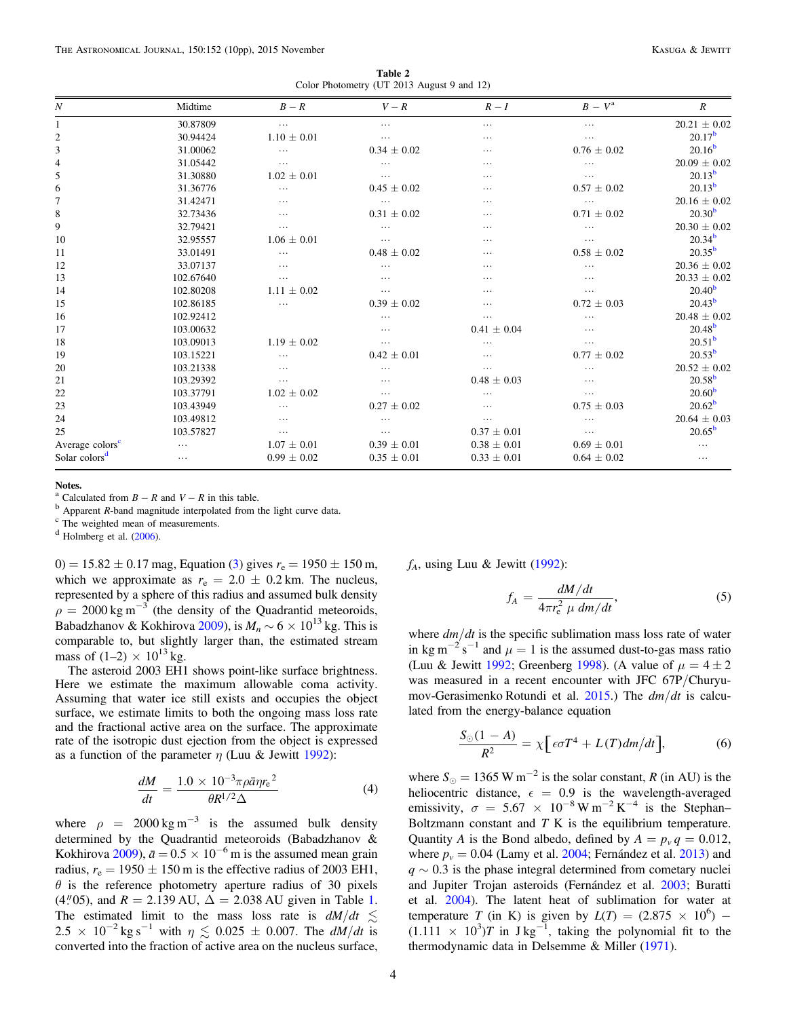Table 2 Color Photometry (UT 2013 August 9 and 12)

| N                           | Midtime   | $B-R$           | $V-R$           | $R-I$           | $B-V^{\rm a}$   | $\boldsymbol{R}$   |
|-----------------------------|-----------|-----------------|-----------------|-----------------|-----------------|--------------------|
|                             | 30.87809  | $\cdots$        | .               | $\cdots$        | .               | $20.21 \pm 0.02$   |
| 2                           | 30.94424  | $1.10 \pm 0.01$ | .               | $\cdots$        | .               | 20.17 <sup>b</sup> |
| 3                           | 31.00062  | .               | $0.34 \pm 0.02$ | $\cdots$        | $0.76 \pm 0.02$ | $20.16^{b}$        |
| 4                           | 31.05442  | .               | .               | $\cdots$        | .               | $20.09 \pm 0.02$   |
| 5                           | 31.30880  | $1.02 \pm 0.01$ | .               | .               | .               | $20.13^{b}$        |
| 6                           | 31.36776  | .               | $0.45 \pm 0.02$ | .               | $0.57 \pm 0.02$ | $20.13^{b}$        |
| 7                           | 31.42471  | .               | $\cdots$        | .               |                 | $20.16 \pm 0.02$   |
| 8                           | 32.73436  | $\cdots$        | $0.31 \pm 0.02$ | $\cdots$        | $0.71 \pm 0.02$ | 20.30 <sup>b</sup> |
| 9                           | 32.79421  | .               | .               | $\cdots$        | .               | $20.30 \pm 0.02$   |
| 10                          | 32.95557  | $1.06 \pm 0.01$ | $\cdots$        | .               | .               | $20.34^{b}$        |
| 11                          | 33.01491  | .               | $0.48 \pm 0.02$ | .               | $0.58 \pm 0.02$ | $20.35^{b}$        |
| 12                          | 33.07137  | $\cdots$        | .               | $\cdots$        | .               | $20.36 \pm 0.02$   |
| 13                          | 102.67640 | .               | .               | $\cdots$        | .               | $20.33 \pm 0.02$   |
| 14                          | 102.80208 | $1.11 \pm 0.02$ | .               | .               |                 | 20.40 <sup>b</sup> |
| 15                          | 102.86185 | .               | $0.39 \pm 0.02$ | .               | $0.72 \pm 0.03$ | $20.43^{b}$        |
| 16                          | 102.92412 |                 | .               | .               | .               | $20.48 \pm 0.02$   |
| 17                          | 103.00632 |                 | .               | $0.41 \pm 0.04$ | .               | $20.48^{b}$        |
| 18                          | 103.09013 | $1.19 \pm 0.02$ | .               |                 | .               | 20.51 <sup>b</sup> |
| 19                          | 103.15221 | .               | $0.42 \pm 0.01$ | $\cdots$        | $0.77 \pm 0.02$ | $20.53^{b}$        |
| 20                          | 103.21338 | .               | .               | $\cdots$        | .               | $20.52 \pm 0.02$   |
| 21                          | 103.29392 | .               | .               | $0.48 \pm 0.03$ | .               | $20.58^{b}$        |
| 22                          | 103.37791 | $1.02 \pm 0.02$ | .               |                 | .               | 20.60 <sup>b</sup> |
| 23                          | 103.43949 | .               | $0.27 \pm 0.02$ | .               | $0.75 \pm 0.03$ | $20.62^b$          |
| 24                          | 103.49812 | .               | .               | .               |                 | $20.64 \pm 0.03$   |
| 25                          | 103.57827 | .               | .               | $0.37 \pm 0.01$ | .               | $20.65^{\rm b}$    |
| Average colors <sup>c</sup> | .         | $1.07 \pm 0.01$ | $0.39 \pm 0.01$ | $0.38 \pm 0.01$ | $0.69 \pm 0.01$ | .                  |
| Solar colors <sup>d</sup>   | $\cdots$  | $0.99 \pm 0.02$ | $0.35 \pm 0.01$ | $0.33 \pm 0.01$ | $0.64 \pm 0.02$ | $\cdots$           |

Notes.

<sup>a</sup> Calculated from  $B - R$  and  $V - R$  in this table.<br><sup>b</sup> Apparent R-band magnitude interpolated from the light curve data. c The weighted mean of measurements.

<sup>d</sup> Holmberg et al. (2006).

0) = 15.82  $\pm$  0.17 mag, Equation (3) gives  $r_e$  = 1950  $\pm$  150 m, which we approximate as  $r_e = 2.0 \pm 0.2$  km. The nucleus, represented by a sphere of this radius and assumed bulk density  $\rho = 2000 \text{ kg m}^{-3}$  (the density of the Quadrantid meteoroids, Babadzhanov & Kokhirova 2009), is  $M_n \sim 6 \times 10^{13}$  kg. This is comparable to, but slightly larger than, the estimated stream mass of  $(1-2) \times 10^{13}$  kg.

The asteroid 2003 EH1 shows point-like surface brightness. Here we estimate the maximum allowable coma activity. Assuming that water ice still exists and occupies the object surface, we estimate limits to both the ongoing mass loss rate and the fractional active area on the surface. The approximate rate of the isotropic dust ejection from the object is expressed as a function of the parameter  $\eta$  (Luu & Jewitt 1992):

$$
\frac{dM}{dt} = \frac{1.0 \times 10^{-3} \pi \rho \bar{a} \eta r_{\rm e}^2}{\theta R^{1/2} \Delta} \tag{4}
$$

where  $\rho = 2000 \text{ kg m}^{-3}$  is the assumed bulk density determined by the Quadrantid meteoroids (Babadzhanov & Kokhirova 2009),  $\bar{a} = 0.5 \times 10^{-6}$  m is the assumed mean grain radius,  $r_e = 1950 \pm 150$  m is the effective radius of 2003 EH1,  $\theta$  is the reference photometry aperture radius of 30 pixels (4.''05), and  $R = 2.139 \text{ AU}$ ,  $\Delta = 2.038 \text{ AU}$  given in Table 1. The estimated limit to the mass loss rate is  $dM/dt \leq$ 2.5 × 10<sup>-2</sup> kg s<sup>-1</sup> with  $\eta \lesssim 0.025 \pm 0.007$ . The  $dM/dt$  is converted into the fraction of active area on the nucleus surface,

 $f_A$ , using Luu & Jewitt (1992):

$$
f_A = \frac{dM/dt}{4\pi r_e^2 \mu dm/dt},\tag{5}
$$

where  $dm/dt$  is the specific sublimation mass loss rate of water in kg m<sup>-2</sup> s<sup>-1</sup> and  $\mu = 1$  is the assumed dust-to-gas mass ratio (Luu & Jewitt 1992; Greenberg 1998). (A value of  $\mu = 4 \pm 2$ was measured in a recent encounter with JFC 67P/Churyumov-Gerasimenko Rotundi et al. 2015.) The  $dm/dt$  is calculated from the energy-balance equation

$$
\frac{S_{\odot}(1-A)}{R^2} = \chi \Big[ \epsilon \sigma T^4 + L(T) dm/dt \Big],\tag{6}
$$

where  $S_{\odot} = 1365 \text{ W m}^{-2}$  is the solar constant, R (in AU) is the heliocentric distance,  $\epsilon = 0.9$  is the wavelength-averaged emissivity,  $\sigma = 5.67 \times 10^{-8} \,\mathrm{W m^{-2} K^{-4}}$  is the Stephan– Boltzmann constant and  $T K$  is the equilibrium temperature. Quantity A is the Bond albedo, defined by  $A = p_y q = 0.012$ , where  $p_v = 0.04$  (Lamy et al. 2004; Fernández et al. 2013) and  $q \sim 0.3$  is the phase integral determined from cometary nuclei and Jupiter Trojan asteroids (Fernández et al. 2003; Buratti et al. 2004). The latent heat of sublimation for water at temperature T (in K) is given by  $L(T) = (2.875 \times 10^6)$  –  $(1.111 \times 10^3)T$  in J kg<sup>-1</sup>, taking the polynomial fit to the thermodynamic data in Delsemme & Miller (1971).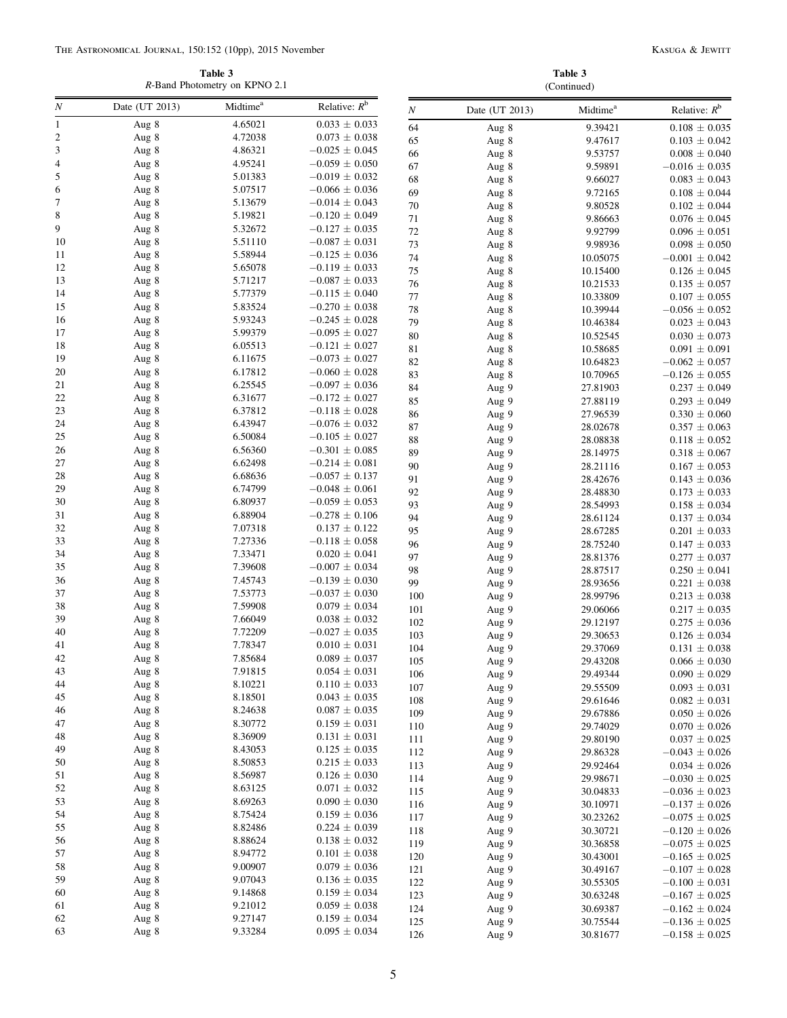Table 3 R-Band Photometry on KPNO 2.1

Table 3 (Continued)

| N                            | Date (UT 2013) | Midtime <sup>a</sup> | Relative: $R^b$                         |            |                |                      |                                        |
|------------------------------|----------------|----------------------|-----------------------------------------|------------|----------------|----------------------|----------------------------------------|
|                              |                |                      |                                         | $\cal N$   | Date (UT 2013) | Midtime <sup>a</sup> | Relative: $R^b$                        |
| $\mathbf{1}$                 | Aug 8          | 4.65021<br>4.72038   | $0.033 \pm 0.033$                       | 64         | Aug 8          | 9.39421              | $0.108 \pm 0.035$                      |
| $\overline{\mathbf{c}}$<br>3 | Aug 8<br>Aug 8 | 4.86321              | $0.073 \pm 0.038$<br>$-0.025 \pm 0.045$ | 65         | Aug 8          | 9.47617              | $0.103 \pm 0.042$                      |
| 4                            | Aug 8          | 4.95241              | $-0.059 \pm 0.050$                      | 66         | Aug 8          | 9.53757              | $0.008 \pm 0.040$                      |
| 5                            | Aug 8          | 5.01383              | $-0.019 \pm 0.032$                      | 67         | Aug 8          | 9.59891              | $-0.016 \pm 0.035$                     |
| 6                            | Aug 8          | 5.07517              | $-0.066 \pm 0.036$                      | 68<br>69   | Aug 8          | 9.66027              | $0.083 \pm 0.043$                      |
| 7                            | Aug 8          | 5.13679              | $-0.014 \pm 0.043$                      | 70         | Aug 8          | 9.72165<br>9.80528   | $0.108 \pm 0.044$                      |
| 8                            | Aug 8          | 5.19821              | $-0.120 \pm 0.049$                      | 71         | Aug 8          | 9.86663              | $0.102 \pm 0.044$<br>$0.076 \pm 0.045$ |
| 9                            | Aug 8          | 5.32672              | $-0.127 \pm 0.035$                      | $72\,$     | Aug 8<br>Aug 8 | 9.92799              | $0.096 \pm 0.051$                      |
| 10                           | Aug 8          | 5.51110              | $-0.087 \pm 0.031$                      | 73         | Aug 8          | 9.98936              | $0.098 \pm 0.050$                      |
| 11                           | Aug 8          | 5.58944              | $-0.125 \pm 0.036$                      | 74         | Aug 8          | 10.05075             | $-0.001 \pm 0.042$                     |
| 12                           | Aug 8          | 5.65078              | $-0.119 \pm 0.033$                      | 75         | Aug 8          | 10.15400             | $0.126 \pm 0.045$                      |
| 13                           | Aug 8          | 5.71217              | $-0.087\,\pm\,0.033$                    | 76         | Aug 8          | 10.21533             | $0.135 \pm 0.057$                      |
| 14                           | Aug 8          | 5.77379              | $-0.115 \pm 0.040$                      | 77         | Aug 8          | 10.33809             | $0.107 \pm 0.055$                      |
| 15                           | Aug 8          | 5.83524              | $-0.270 \pm 0.038$                      | 78         | Aug 8          | 10.39944             | $-0.056 \pm 0.052$                     |
| 16                           | Aug 8          | 5.93243              | $-0.245 \pm 0.028$                      | 79         | Aug 8          | 10.46384             | $0.023 \pm 0.043$                      |
| 17                           | Aug 8          | 5.99379              | $-0.095 \pm 0.027$                      | 80         | Aug 8          | 10.52545             | $0.030 \pm 0.073$                      |
| 18                           | Aug 8          | 6.05513              | $-0.121 \pm 0.027$                      | 81         | Aug 8          | 10.58685             | $0.091 \pm 0.091$                      |
| 19                           | Aug 8          | 6.11675              | $-0.073 \pm 0.027$                      | 82         | Aug 8          | 10.64823             | $-0.062 \pm 0.057$                     |
| 20                           | Aug 8          | 6.17812              | $-0.060 \pm 0.028$                      | 83         | Aug 8          | 10.70965             | $-0.126 \pm 0.055$                     |
| 21                           | Aug 8          | 6.25545              | $-0.097 \pm 0.036$                      | 84         | Aug 9          | 27.81903             | $0.237 \pm 0.049$                      |
| 22                           | Aug 8          | 6.31677              | $-0.172 \pm 0.027$                      | 85         | Aug 9          | 27.88119             | $0.293 \pm 0.049$                      |
| 23                           | Aug 8          | 6.37812              | $-0.118 \pm 0.028$                      | 86         | Aug 9          | 27.96539             | $0.330 \pm 0.060$                      |
| 24                           | Aug 8          | 6.43947              | $-0.076 \pm 0.032$                      | 87         | Aug 9          | 28.02678             | $0.357 \pm 0.063$                      |
| 25                           | Aug 8          | 6.50084              | $-0.105 \pm 0.027$                      | 88         | Aug 9          | 28.08838             | $0.118 \pm 0.052$                      |
| 26                           | Aug 8          | 6.56360              | $-0.301 \pm 0.085$                      | 89         | Aug 9          | 28.14975             | $0.318 \pm 0.067$                      |
| 27                           | Aug 8          | 6.62498              | $-0.214 \pm 0.081$                      | 90         | Aug 9          | 28.21116             | $0.167 \pm 0.053$                      |
| 28                           | Aug 8          | 6.68636              | $-0.057 \pm 0.137$                      | 91         | Aug 9          | 28.42676             | $0.143 \pm 0.036$                      |
| 29                           | Aug 8          | 6.74799              | $-0.048 \pm 0.061$                      | 92         | Aug 9          | 28.48830             | $0.173 \pm 0.033$                      |
| 30<br>31                     | Aug 8          | 6.80937<br>6.88904   | $-0.059 \pm 0.053$                      | 93         | Aug 9          | 28.54993             | $0.158 \pm 0.034$                      |
| 32                           | Aug 8<br>Aug 8 | 7.07318              | $-0.278 \pm 0.106$<br>$0.137 \pm 0.122$ | 94         | Aug 9          | 28.61124             | $0.137 \pm 0.034$                      |
| 33                           | Aug 8          | 7.27336              | $-0.118 \pm 0.058$                      | 95         | Aug 9          | 28.67285             | $0.201 \pm 0.033$                      |
| 34                           | Aug 8          | 7.33471              | $0.020 \pm 0.041$                       | 96         | Aug 9          | 28.75240             | $0.147 \pm 0.033$                      |
| 35                           | Aug 8          | 7.39608              | $-0.007 \pm 0.034$                      | 97<br>98   | Aug 9          | 28.81376             | $0.277 \pm 0.037$                      |
| 36                           | Aug 8          | 7.45743              | $-0.139 \pm 0.030$                      | 99         | Aug 9          | 28.87517             | $0.250 \pm 0.041$                      |
| 37                           | Aug 8          | 7.53773              | $-0.037\,\pm\,0.030$                    | 100        | Aug 9<br>Aug 9 | 28.93656<br>28.99796 | $0.221 \pm 0.038$<br>$0.213 \pm 0.038$ |
| 38                           | Aug 8          | 7.59908              | $0.079 \pm 0.034$                       | 101        | Aug 9          | 29.06066             | $0.217 \pm 0.035$                      |
| 39                           | Aug 8          | 7.66049              | $0.038 \pm 0.032$                       | 102        | Aug 9          | 29.12197             | $0.275 \pm 0.036$                      |
| 40                           | Aug 8          | 7.72209              | $-0.027\,\pm\,0.035$                    | 103        | Aug 9          | 29.30653             | $0.126 \pm 0.034$                      |
| 41                           | Aug 8          | 7.78347              | $0.010 \pm 0.031$                       | 104        | Aug 9          | 29.37069             | $0.131 \pm 0.038$                      |
| 42                           | Aug 8          | 7.85684              | $0.089 \pm 0.037$                       | 105        | Aug 9          | 29.43208             | $0.066 \pm 0.030$                      |
| 43                           | Aug 8          | 7.91815              | $0.054 \pm 0.031$                       | 106        | Aug 9          | 29.49344             | $0.090 \pm 0.029$                      |
| 44                           | Aug 8          | 8.10221              | $0.110 \pm 0.033$                       | 107        | Aug 9          | 29.55509             | $0.093 \pm 0.031$                      |
| 45                           | Aug 8          | 8.18501              | $0.043 \pm 0.035$                       | 108        | Aug 9          | 29.61646             | $0.082\,\pm\,0.031$                    |
| 46                           | Aug 8          | 8.24638              | $0.087 \pm 0.035$                       | 109        | Aug 9          | 29.67886             | $0.050 \pm 0.026$                      |
| 47                           | Aug 8          | 8.30772              | $0.159 \pm 0.031$                       | 110        | Aug 9          | 29.74029             | $0.070 \pm 0.026$                      |
| 48                           | Aug 8          | 8.36909              | $0.131 \pm 0.031$                       | 111        | Aug 9          | 29.80190             | $0.037 \pm 0.025$                      |
| 49                           | Aug 8          | 8.43053              | $0.125 \pm 0.035$                       | 112        | Aug 9          | 29.86328             | $-0.043 \pm 0.026$                     |
| 50                           | Aug 8          | 8.50853              | $0.215 \pm 0.033$                       | 113        | Aug 9          | 29.92464             | $0.034 \pm 0.026$                      |
| 51                           | Aug 8          | 8.56987              | $0.126 \pm 0.030$                       | 114        | Aug 9          | 29.98671             | $-0.030 \pm 0.025$                     |
| 52                           | Aug 8          | 8.63125              | $0.071 \pm 0.032$                       | 115        | Aug 9          | 30.04833             | $-0.036 \pm 0.023$                     |
| 53                           | Aug 8          | 8.69263              | $0.090 \pm 0.030$                       | 116        | Aug 9          | 30.10971             | $-0.137 \pm 0.026$                     |
| 54                           | Aug 8          | 8.75424              | $0.159 \pm 0.036$                       | 117        | Aug 9          | 30.23262             | $-0.075 \pm 0.025$                     |
| 55                           | Aug 8          | 8.82486              | $0.224 \pm 0.039$                       | 118        | Aug 9          | 30.30721             | $-0.120 \pm 0.026$                     |
| 56<br>57                     | Aug 8<br>Aug 8 | 8.88624<br>8.94772   | $0.138 \pm 0.032$<br>$0.101 \pm 0.038$  | 119        | Aug 9          | 30.36858             | $-0.075 \pm 0.025$                     |
| 58                           | Aug 8          | 9.00907              | $0.079 \pm 0.036$                       | 120        | Aug 9          | 30.43001             | $-0.165 \pm 0.025$                     |
| 59                           | Aug 8          | 9.07043              | $0.136 \pm 0.035$                       | 121        | Aug 9          | 30.49167             | $-0.107 \pm 0.028$                     |
| 60                           | Aug 8          | 9.14868              | $0.159 \pm 0.034$                       | 122        | Aug 9          | 30.55305             | $-0.100 \pm 0.031$                     |
| 61                           | Aug 8          | 9.21012              | $0.059 \pm 0.038$                       | 123        | Aug 9          | 30.63248             | $-0.167 \pm 0.025$                     |
| 62                           | Aug 8          | 9.27147              | $0.159 \pm 0.034$                       | 124<br>125 | Aug 9          | 30.69387             | $-0.162 \pm 0.024$                     |
| 63                           | Aug 8          | 9.33284              | $0.095 \pm 0.034$                       | 126        | Aug 9          | 30.75544             | $-0.136 \pm 0.025$                     |
|                              |                |                      |                                         |            | Aug 9          | 30.81677             | $-0.158 \pm 0.025$                     |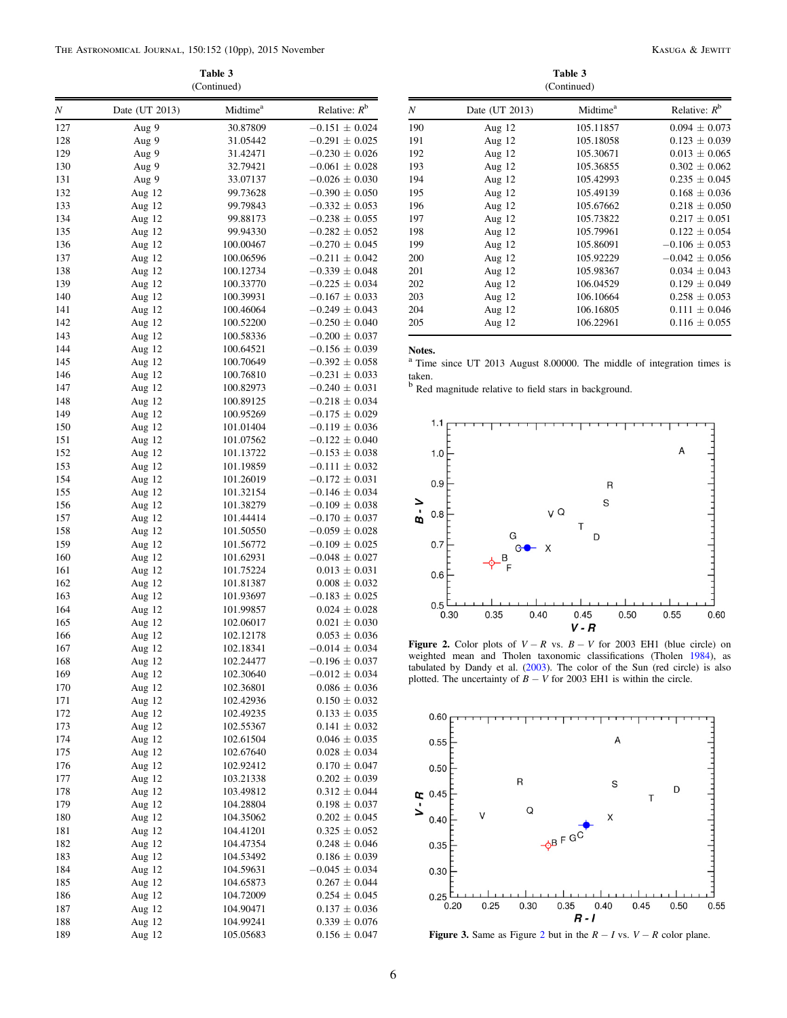Table 3 (Continued)

| Ν          | Date (UT 2013)     | Midtime <sup>a</sup>   | Relative: $R^b$                          |
|------------|--------------------|------------------------|------------------------------------------|
| 127        | Aug 9              | 30.87809               | $-0.151 \pm 0.024$                       |
| 128        | Aug 9              | 31.05442               | $-0.291 \pm 0.025$                       |
| 129        | Aug 9              | 31.42471               | $-0.230 \pm 0.026$                       |
| 130        | Aug 9              | 32.79421               | $-0.061 \pm 0.028$                       |
| 131        | Aug 9              | 33.07137               | $-0.026 \pm 0.030$                       |
| 132        | Aug 12             | 99.73628               | $-0.390 \pm 0.050$                       |
| 133        | Aug 12             | 99.79843               | $-0.332 \pm 0.053$                       |
| 134        | Aug 12             | 99.88173               | $-0.238 \pm 0.055$                       |
| 135        | Aug 12             | 99.94330               | $-0.282 \pm 0.052$                       |
| 136        | Aug $12$           | 100.00467              | $-0.270 \pm 0.045$                       |
| 137        | Aug 12             | 100.06596              | $-0.211 \pm 0.042$                       |
| 138        | Aug 12             | 100.12734              | $-0.339 \pm 0.048$                       |
| 139<br>140 | Aug 12             | 100.33770<br>100.39931 | $-0.225 \pm 0.034$<br>$-0.167 \pm 0.033$ |
| 141        | Aug 12<br>Aug $12$ | 100.46064              | $-0.249 \pm 0.043$                       |
| 142        | Aug 12             | 100.52200              | $-0.250 \pm 0.040$                       |
| 143        | Aug 12             | 100.58336              | $-0.200 \pm 0.037$                       |
| 144        | Aug 12             | 100.64521              | $-0.156 \pm 0.039$                       |
| 145        | Aug 12             | 100.70649              | $-0.392 \pm 0.058$                       |
| 146        | Aug 12             | 100.76810              | $-0.231 \pm 0.033$                       |
| 147        | Aug 12             | 100.82973              | $-0.240 \pm 0.031$                       |
| 148        | Aug $12$           | 100.89125              | $-0.218 \pm 0.034$                       |
| 149        | Aug 12             | 100.95269              | $-0.175 \pm 0.029$                       |
| 150        | Aug 12             | 101.01404              | $-0.119 \pm 0.036$                       |
| 151        | Aug 12             | 101.07562              | $-0.122 \pm 0.040$                       |
| 152        | Aug $12$           | 101.13722              | $-0.153 \pm 0.038$                       |
| 153        | Aug 12             | 101.19859              | $-0.111 \pm 0.032$                       |
| 154        | Aug 12             | 101.26019              | $-0.172 \pm 0.031$                       |
| 155        | Aug 12             | 101.32154              | $-0.146 \pm 0.034$                       |
| 156        | Aug 12             | 101.38279              | $-0.109 \pm 0.038$                       |
| 157        | Aug 12             | 101.44414              | $-0.170 \pm 0.037$                       |
| 158        | Aug 12             | 101.50550              | $-0.059 \pm 0.028$                       |
| 159        | Aug 12             | 101.56772              | $-0.109 \pm 0.025$                       |
| 160        | Aug $12$           | 101.62931              | $-0.048 \pm 0.027$                       |
| 161        | Aug 12             | 101.75224              | $0.013 \pm 0.031$                        |
| 162        | Aug 12             | 101.81387              | $0.008 \pm 0.032$                        |
| 163        | Aug 12             | 101.93697              | $-0.183 \pm 0.025$                       |
| 164<br>165 | Aug 12             | 101.99857              | $0.024 \pm 0.028$<br>$0.021 \pm 0.030$   |
| 166        | Aug 12<br>Aug 12   | 102.06017<br>102.12178 | $0.053 \pm 0.036$                        |
| 167        | Aug 12             | 102.18341              | $-0.014 \pm 0.034$                       |
| 168        | Aug 12             | 102.24477              | $-0.196 \pm 0.037$                       |
| 169        | Aug 12             | 102.30640              | $-0.012 \pm 0.034$                       |
| 170        | Aug 12             | 102.36801              | $0.086 \pm 0.036$                        |
| 171        | Aug 12             | 102.42936              | $0.150 \pm 0.032$                        |
| 172        | Aug 12             | 102.49235              | $0.133 \pm 0.035$                        |
| 173        | Aug 12             | 102.55367              | $0.141 \pm 0.032$                        |
| 174        | Aug 12             | 102.61504              | $0.046 \pm 0.035$                        |
| 175        | Aug 12             | 102.67640              | $0.028 \pm 0.034$                        |
| 176        | Aug 12             | 102.92412              | $0.170 \pm 0.047$                        |
| 177        | Aug 12             | 103.21338              | $0.202 \pm 0.039$                        |
| 178        | Aug 12             | 103.49812              | $0.312 \pm 0.044$                        |
| 179        | Aug 12             | 104.28804              | $0.198 \pm 0.037$                        |
| 180        | Aug 12             | 104.35062              | $0.202 \pm 0.045$                        |
| 181        | Aug 12             | 104.41201              | $0.325\,\pm\,0.052$                      |
| 182        | Aug 12             | 104.47354              | $0.248 \pm 0.046$                        |
| 183        | Aug 12             | 104.53492              | $0.186 \pm 0.039$                        |
| 184        | Aug 12             | 104.59631              | $-0.045 \pm 0.034$                       |
| 185        | Aug 12             | 104.65873              | $0.267 \pm 0.044$                        |
| 186        | Aug 12             | 104.72009              | $0.254 \pm 0.045$                        |
| 187        | Aug 12             | 104.90471              | $0.137 \pm 0.036$                        |
| 188        | Aug 12             | 104.99241              | $0.339 \pm 0.076$                        |
| 189        | Aug 12             | 105.05683              | $0.156 \pm 0.047$                        |

Table 3 (Continued)

| Ν   | Date (UT 2013) | Midtime <sup>a</sup> | Relative: $R^b$    |
|-----|----------------|----------------------|--------------------|
| 190 | Aug $12$       | 105.11857            | $0.094 \pm 0.073$  |
| 191 | Aug 12         | 105.18058            | $0.123 \pm 0.039$  |
| 192 | Aug 12         | 105.30671            | $0.013 \pm 0.065$  |
| 193 | Aug 12         | 105.36855            | $0.302 \pm 0.062$  |
| 194 | Aug 12         | 105.42993            | $0.235 \pm 0.045$  |
| 195 | Aug 12         | 105.49139            | $0.168 \pm 0.036$  |
| 196 | Aug 12         | 105.67662            | $0.218 \pm 0.050$  |
| 197 | Aug 12         | 105.73822            | $0.217 \pm 0.051$  |
| 198 | Aug 12         | 105.79961            | $0.122 \pm 0.054$  |
| 199 | Aug 12         | 105.86091            | $-0.106 \pm 0.053$ |
| 200 | Aug $12$       | 105.92229            | $-0.042 \pm 0.056$ |
| 201 | Aug 12         | 105.98367            | $0.034 \pm 0.043$  |
| 202 | Aug 12         | 106.04529            | $0.129 \pm 0.049$  |
| 203 | Aug 12         | 106.10664            | $0.258 \pm 0.053$  |
| 204 | Aug 12         | 106.16805            | $0.111 \pm 0.046$  |
| 205 | Aug 12         | 106.22961            | $0.116 \pm 0.055$  |
|     |                |                      |                    |

#### Notes.

<sup>a</sup> Time since UT 2013 August 8.00000. The middle of integration times is taken.

<sup>b</sup> Red magnitude relative to field stars in background.



Figure 2. Color plots of  $V - R$  vs.  $B - V$  for 2003 EH1 (blue circle) on weighted mean and Tholen taxonomic classifications (Tholen 1984), as tabulated by Dandy et al. (2003). The color of the Sun (red circle) is also plotted. The uncertainty of  $B - V$  for 2003 EH1 is within the circle.



Figure 3. Same as Figure 2 but in the  $R - I$  vs.  $V - R$  color plane.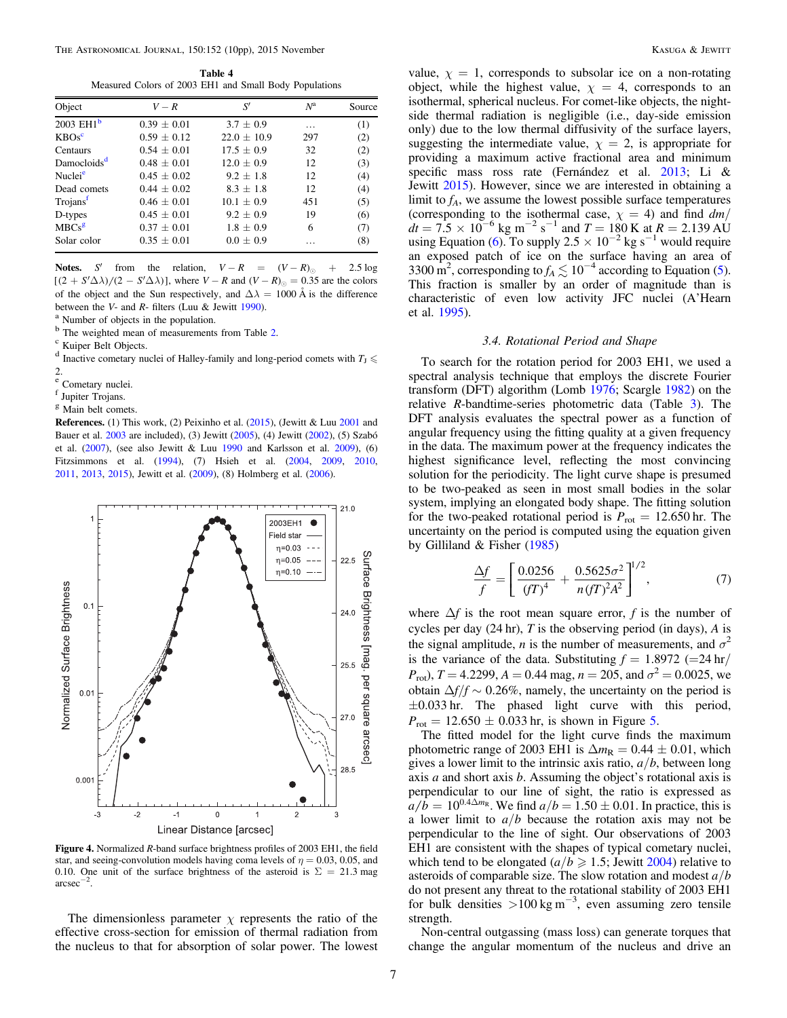Table 4 Measured Colors of 2003 EH1 and Small Body Populations

| Object                  | $V-R$           | S'              | $N^{\rm a}$ | Source |
|-------------------------|-----------------|-----------------|-------------|--------|
| 2003 EH1 $b$            | $0.39 \pm 0.01$ | $3.7 \pm 0.9$   | .           | (1)    |
| $KBOs^c$                | $0.59 \pm 0.12$ | $22.0 \pm 10.9$ | 297         | (2)    |
| Centaurs                | $0.54 \pm 0.01$ | $17.5 \pm 0.9$  | 32          | (2)    |
| Damocloids <sup>d</sup> | $0.48 + 0.01$   | $12.0 \pm 0.9$  | 12          | (3)    |
| Nuclei <sup>e</sup>     | $0.45 + 0.02$   | $9.2 + 1.8$     | 12          | (4)    |
| Dead comets             | $0.44 + 0.02$   | $8.3 + 1.8$     | 12          | (4)    |
| Trojans <sup>f</sup>    | $0.46 \pm 0.01$ | $10.1 + 0.9$    | 451         | (5)    |
| D-types                 | $0.45 + 0.01$   | $9.2 \pm 0.9$   | 19          | (6)    |
| MBCs <sup>g</sup>       | $0.37 \pm 0.01$ | $1.8 + 0.9$     | 6           | (7)    |
| Solar color             | $0.35 + 0.01$   | $0.0 \pm 0.9$   |             | (8)    |

Notes. S' from the relation,  $V - R = (V - R)_{\odot} + 2.5 \log$  $[(2 + S'\Delta\lambda)/(2 - S'\Delta\lambda)]$ , where  $V - R$  and  $(V - R)_{\odot} = 0.35$  are the colors of the object and the Sun respectively, and  $\Delta \lambda = 1000 \text{ Å}$  is the difference between the *V*- and *R*- filters (Luu & Jewitt 1990).<br><sup>a</sup> Number of objects in the population.

 $\frac{b}{c}$  The weighted mean of measurements from Table 2.  $\frac{c}{c}$  Kuiper Belt Objects.

<sup>d</sup> Inactive cometary nuclei of Halley-family and long-period comets with  $T_J \leq$ 

2.<br><sup>e</sup> Cometary nuclei.

<sup>f</sup> Jupiter Trojans.

<sup>g</sup> Main belt comets.

References. (1) This work, (2) Peixinho et al. (2015), (Jewitt & Luu 2001 and Bauer et al. 2003 are included), (3) Jewitt (2005), (4) Jewitt (2002), (5) Szabó et al. (2007), (see also Jewitt & Luu 1990 and Karlsson et al. 2009), (6) Fitzsimmons et al. (1994), (7) Hsieh et al. (2004, 2009, 2010, 2011, 2013, 2015), Jewitt et al. (2009), (8) Holmberg et al. (2006).



Figure 4. Normalized R-band surface brightness profiles of 2003 EH1, the field star, and seeing-convolution models having coma levels of  $\eta = 0.03, 0.05$ , and 0.10. One unit of the surface brightness of the asteroid is  $\Sigma = 21.3$  mag arcsec−<sup>2</sup> .

The dimensionless parameter  $\chi$  represents the ratio of the effective cross-section for emission of thermal radiation from the nucleus to that for absorption of solar power. The lowest

value,  $\chi = 1$ , corresponds to subsolar ice on a non-rotating object, while the highest value,  $\chi = 4$ , corresponds to an isothermal, spherical nucleus. For comet-like objects, the nightside thermal radiation is negligible (i.e., day-side emission only) due to the low thermal diffusivity of the surface layers, suggesting the intermediate value,  $\chi = 2$ , is appropriate for providing a maximum active fractional area and minimum specific mass ross rate (Fernández et al. 2013; Li & Jewitt 2015). However, since we are interested in obtaining a limit to  $f_A$ , we assume the lowest possible surface temperatures (corresponding to the isothermal case,  $\chi = 4$ ) and find dm/  $dt = 7.5 \times 10^{-6}$  kg m<sup>-2</sup> s<sup>-1</sup> and  $T = 180$  K at  $R = 2.139$  AU using Equation (6). To supply 2.5  $\times$  10<sup>-2</sup> kg s<sup>-1</sup> would require an exposed patch of ice on the surface having an area of 3300 m<sup>2</sup>, corresponding to  $f_A \lesssim 10^{-4}$  according to Equation (5). This fraction is smaller by an order of magnitude than is characteristic of even low activity JFC nuclei (A'Hearn et al. 1995).

#### 3.4. Rotational Period and Shape

To search for the rotation period for 2003 EH1, we used a spectral analysis technique that employs the discrete Fourier transform (DFT) algorithm (Lomb 1976; Scargle 1982) on the relative  $R$ -bandtime-series photometric data (Table  $3$ ). The DFT analysis evaluates the spectral power as a function of angular frequency using the fitting quality at a given frequency in the data. The maximum power at the frequency indicates the highest significance level, reflecting the most convincing solution for the periodicity. The light curve shape is presumed to be two-peaked as seen in most small bodies in the solar system, implying an elongated body shape. The fitting solution for the two-peaked rotational period is  $P_{\text{rot}} = 12.650 \text{ hr}$ . The uncertainty on the period is computed using the equation given by Gilliland & Fisher (1985)

$$
\frac{\Delta f}{f} = \left[ \frac{0.0256}{(fT)^4} + \frac{0.5625\sigma^2}{n(fT)^2A^2} \right]^{1/2},\tag{7}
$$

where  $\Delta f$  is the root mean square error, f is the number of cycles per day  $(24 \text{ hr})$ , T is the observing period (in days), A is the signal amplitude, *n* is the number of measurements, and  $\sigma^2$ is the variance of the data. Substituting  $f = 1.8972$  (=24 hr/  $P_{\text{rot}}$ ),  $T = 4.2299$ ,  $A = 0.44$  mag,  $n = 205$ , and  $\sigma^2 = 0.0025$ , we obtain  $\Delta f/f \sim 0.26\%$ , namely, the uncertainty on the period is  $\pm 0.033$  hr. The phased light curve with this period,  $P_{\text{rot}} = 12.650 \pm 0.033 \text{ hr}$ , is shown in Figure 5.

The fitted model for the light curve finds the maximum photometric range of 2003 EH1 is  $\Delta m_R = 0.44 \pm 0.01$ , which gives a lower limit to the intrinsic axis ratio,  $a/b$ , between long axis  $a$  and short axis  $b$ . Assuming the object's rotational axis is perpendicular to our line of sight, the ratio is expressed as  $a/b = 10^{0.4\Delta m_R}$ . We find  $a/b = 1.50 \pm 0.01$ . In practice, this is a lower limit to  $a/b$  because the rotation axis may not be perpendicular to the line of sight. Our observations of 2003 EH1 are consistent with the shapes of typical cometary nuclei, which tend to be elongated ( $a/b \ge 1.5$ ; Jewitt 2004) relative to asteroids of comparable size. The slow rotation and modest  $a/b$ do not present any threat to the rotational stability of 2003 EH1 for bulk densities >100 kg m<sup>-3</sup>, even assuming zero tensile strength.

Non-central outgassing (mass loss) can generate torques that change the angular momentum of the nucleus and drive an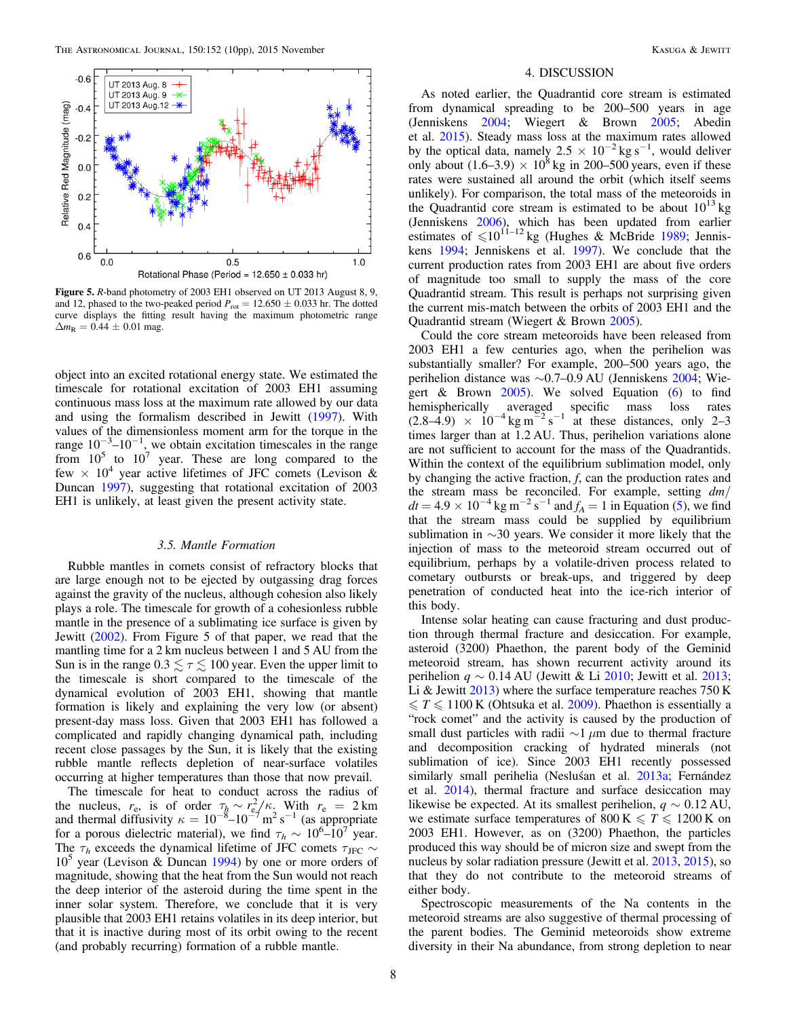

Figure 5. R-band photometry of 2003 EH1 observed on UT 2013 August 8, 9, and 12, phased to the two-peaked period  $P_{\text{rot}} = 12.650 \pm 0.033$  hr. The dotted curve displays the fitting result having the maximum photometric range  $\Delta m_R = 0.44 \pm 0.01$  mag.

object into an excited rotational energy state. We estimated the timescale for rotational excitation of 2003 EH1 assuming continuous mass loss at the maximum rate allowed by our data and using the formalism described in Jewitt (1997). With values of the dimensionless moment arm for the torque in the range  $10^{-3}$ – $10^{-1}$ , we obtain excitation timescales in the range from  $10^5$  to  $10^7$  year. These are long compared to the few  $\times$  10<sup>4</sup> year active lifetimes of JFC comets (Levison & Duncan 1997), suggesting that rotational excitation of 2003 EH1 is unlikely, at least given the present activity state.

#### 3.5. Mantle Formation

Rubble mantles in comets consist of refractory blocks that are large enough not to be ejected by outgassing drag forces against the gravity of the nucleus, although cohesion also likely plays a role. The timescale for growth of a cohesionless rubble mantle in the presence of a sublimating ice surface is given by Jewitt (2002). From Figure 5 of that paper, we read that the mantling time for a 2 km nucleus between 1 and 5 AU from the Sun is in the range  $0.3 \leq \tau \leq 100$  year. Even the upper limit to the timescale is short compared to the timescale of the dynamical evolution of 2003 EH1, showing that mantle formation is likely and explaining the very low (or absent) present-day mass loss. Given that 2003 EH1 has followed a complicated and rapidly changing dynamical path, including recent close passages by the Sun, it is likely that the existing rubble mantle reflects depletion of near-surface volatiles occurring at higher temperatures than those that now prevail.

The timescale for heat to conduct across the radius of the nucleus,  $r_e$ , is of order  $\tau_h \sim r_e^2/\kappa$ . With  $r_e = 2 \text{ km}$ and thermal diffusivity  $\kappa = 10^{-8} - 10^{-7}$  m<sup>2</sup> s<sup>-1</sup> (as appropriate for a porous dielectric material), we find  $\tau_h \sim 10^{6-1} 0^7$  year. The  $\tau_h$  exceeds the dynamical lifetime of JFC comets  $\tau_{\text{JFC}}$  ~  $10<sup>5</sup>$  year (Levison & Duncan 1994) by one or more orders of magnitude, showing that the heat from the Sun would not reach the deep interior of the asteroid during the time spent in the inner solar system. Therefore, we conclude that it is very plausible that 2003 EH1 retains volatiles in its deep interior, but that it is inactive during most of its orbit owing to the recent (and probably recurring) formation of a rubble mantle.

#### 4. DISCUSSION

As noted earlier, the Quadrantid core stream is estimated from dynamical spreading to be 200–500 years in age (Jenniskens 2004; Wiegert & Brown 2005; Abedin et al. 2015). Steady mass loss at the maximum rates allowed by the optical data, namely 2.5  $\times$  10<sup>-2</sup> kg s<sup>-1</sup>, would deliver only about  $(1.6-3.9) \times 10^8$  kg in 200–500 years, even if these rates were sustained all around the orbit (which itself seems unlikely). For comparison, the total mass of the meteoroids in the Quadrantid core stream is estimated to be about  $10^{13}$  kg (Jenniskens 2006), which has been updated from earlier estimates of  $\leq 10^{11-12}$  kg (Hughes & McBride 1989; Jenniskens 1994; Jenniskens et al. 1997). We conclude that the current production rates from 2003 EH1 are about five orders of magnitude too small to supply the mass of the core Quadrantid stream. This result is perhaps not surprising given the current mis-match between the orbits of 2003 EH1 and the Quadrantid stream (Wiegert & Brown 2005).

Could the core stream meteoroids have been released from 2003 EH1 a few centuries ago, when the perihelion was substantially smaller? For example, 200–500 years ago, the perihelion distance was ∼0.7–0.9 AU (Jenniskens 2004; Wiegert & Brown 2005). We solved Equation (6) to find hemispherically averaged specific mass loss rates  $(2.8-4.9) \times 10^{-4}$  kg m<sup>-2</sup> s<sup>-1</sup> at these distances, only 2-3 times larger than at 1.2 AU. Thus, perihelion variations alone are not sufficient to account for the mass of the Quadrantids. Within the context of the equilibrium sublimation model, only by changing the active fraction, f, can the production rates and the stream mass be reconciled. For example, setting  $dm/$  $dt = 4.9 \times 10^{-4}$  kg m<sup>-2</sup> s<sup>-1</sup> and  $f_A = 1$  in Equation (5), we find that the stream mass could be supplied by equilibrium sublimation in ∼30 years. We consider it more likely that the injection of mass to the meteoroid stream occurred out of equilibrium, perhaps by a volatile-driven process related to cometary outbursts or break-ups, and triggered by deep penetration of conducted heat into the ice-rich interior of this body.

Intense solar heating can cause fracturing and dust production through thermal fracture and desiccation. For example, asteroid (3200) Phaethon, the parent body of the Geminid meteoroid stream, has shown recurrent activity around its perihelion  $q \sim 0.14$  AU (Jewitt & Li 2010; Jewitt et al. 2013; Li & Jewitt  $2013$ ) where the surface temperature reaches 750 K  $\leq T \leq 1100$  K (Ohtsuka et al. 2009). Phaethon is essentially a "rock comet" and the activity is caused by the production of small dust particles with radii  $\sim$ 1 μm due to thermal fracture and decomposition cracking of hydrated minerals (not sublimation of ice). Since 2003 EH1 recently possessed similarly small perihelia (Nesluśan et al. 2013a; Fernández et al. 2014), thermal fracture and surface desiccation may likewise be expected. At its smallest perihelion,  $q \sim 0.12$  AU, we estimate surface temperatures of 800 K  $\leq T \leq 1200$  K on 2003 EH1. However, as on (3200) Phaethon, the particles produced this way should be of micron size and swept from the nucleus by solar radiation pressure (Jewitt et al. 2013, 2015), so that they do not contribute to the meteoroid streams of either body.

Spectroscopic measurements of the Na contents in the meteoroid streams are also suggestive of thermal processing of the parent bodies. The Geminid meteoroids show extreme diversity in their Na abundance, from strong depletion to near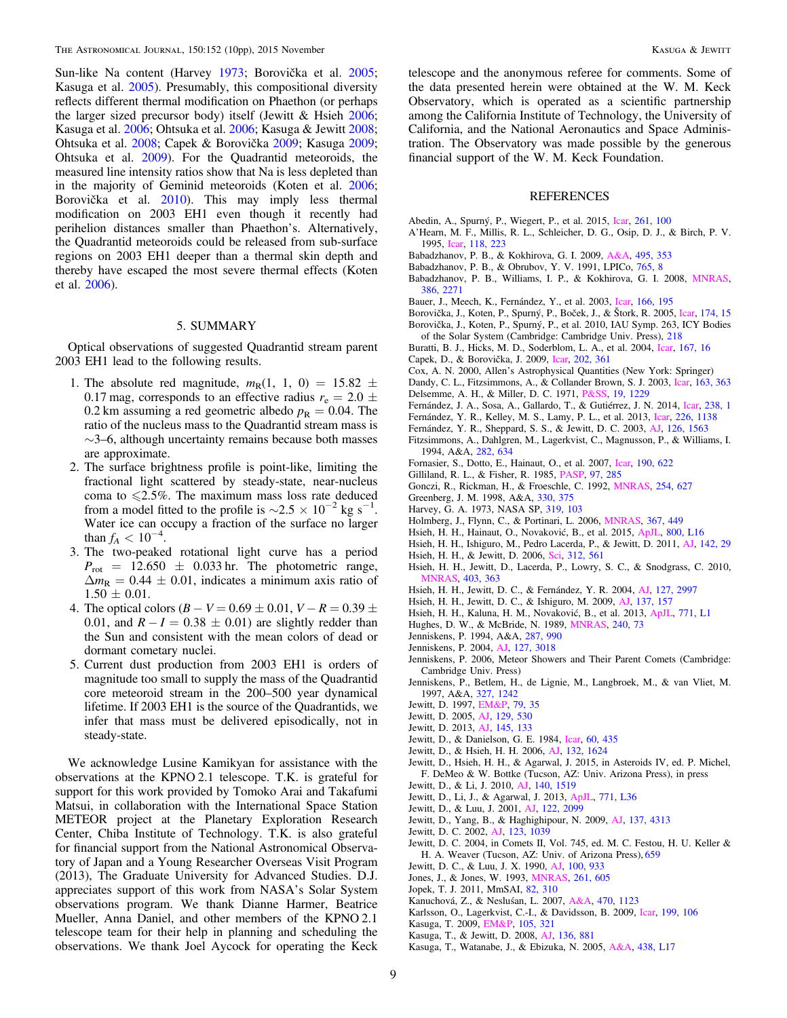Sun-like Na content (Harvey 1973; Borovička et al. 2005; Kasuga et al. 2005). Presumably, this compositional diversity reflects different thermal modification on Phaethon (or perhaps the larger sized precursor body) itself (Jewitt & Hsieh 2006; Kasuga et al. 2006; Ohtsuka et al. 2006; Kasuga & Jewitt 2008; Ohtsuka et al. 2008; Capek & Borovička 2009; Kasuga 2009; Ohtsuka et al. 2009). For the Quadrantid meteoroids, the measured line intensity ratios show that Na is less depleted than in the majority of Geminid meteoroids (Koten et al. 2006; Borovička et al. 2010). This may imply less thermal modification on 2003 EH1 even though it recently had perihelion distances smaller than Phaethon's. Alternatively, the Quadrantid meteoroids could be released from sub-surface regions on 2003 EH1 deeper than a thermal skin depth and thereby have escaped the most severe thermal effects (Koten et al. 2006).

## 5. SUMMARY

Optical observations of suggested Quadrantid stream parent 2003 EH1 lead to the following results.

- 1. The absolute red magnitude,  $m_R(1, 1, 0) = 15.82 \pm 1$ 0.17 mag, corresponds to an effective radius  $r_e = 2.0 \pm$ 0.2 km assuming a red geometric albedo  $p_R = 0.04$ . The ratio of the nucleus mass to the Quadrantid stream mass is ∼3–6, although uncertainty remains because both masses are approximate.
- 2. The surface brightness profile is point-like, limiting the fractional light scattered by steady-state, near-nucleus coma to  $\leq 2.5\%$ . The maximum mass loss rate deduced from a model fitted to the profile is  $\sim$ 2.5 × 10<sup>-2</sup> kg s<sup>-1</sup>. Water ice can occupy a fraction of the surface no larger than  $f_A < 10^{-4}$ .
- 3. The two-peaked rotational light curve has a period  $P_{\text{rot}}$  = 12.650  $\pm$  0.033 hr. The photometric range,  $\Delta m_R = 0.44 \pm 0.01$ , indicates a minimum axis ratio of  $1.50 \pm 0.01$ .
- 4. The optical colors  $(B V = 0.69 \pm 0.01, V R = 0.39 \pm 0.01)$ 0.01, and  $R - I = 0.38 \pm 0.01$ ) are slightly redder than the Sun and consistent with the mean colors of dead or dormant cometary nuclei.
- 5. Current dust production from 2003 EH1 is orders of magnitude too small to supply the mass of the Quadrantid core meteoroid stream in the 200–500 year dynamical lifetime. If 2003 EH1 is the source of the Quadrantids, we infer that mass must be delivered episodically, not in steady-state.

We acknowledge Lusine Kamikyan for assistance with the observations at the KPNO 2.1 telescope. T.K. is grateful for support for this work provided by Tomoko Arai and Takafumi Matsui, in collaboration with the International Space Station METEOR project at the Planetary Exploration Research Center, Chiba Institute of Technology. T.K. is also grateful for financial support from the National Astronomical Observatory of Japan and a Young Researcher Overseas Visit Program (2013), The Graduate University for Advanced Studies. D.J. appreciates support of this work from NASA's Solar System observations program. We thank Dianne Harmer, Beatrice Mueller, Anna Daniel, and other members of the KPNO 2.1 telescope team for their help in planning and scheduling the observations. We thank Joel Aycock for operating the Keck telescope and the anonymous referee for comments. Some of the data presented herein were obtained at the W. M. Keck Observatory, which is operated as a scientific partnership among the California Institute of Technology, the University of California, and the National Aeronautics and Space Administration. The Observatory was made possible by the generous financial support of the W. M. Keck Foundation.

#### REFERENCES

- Abedin, A., Spurný, P., Wiegert, P., et al. 2015, Icar, 261, 100
- A'Hearn, M. F., Millis, R. L., Schleicher, D. G., Osip, D. J., & Birch, P. V. 1995, Icar, 118, 223
- Babadzhanov, P. B., & Kokhirova, G. I. 2009, A&A, 495, 353
- Babadzhanov, P. B., & Obrubov, Y. V. 1991, LPICo, 765, 8
- Babadzhanov, P. B., Williams, I. P., & Kokhirova, G. I. 2008, MNRAS, 386, 2271
- Bauer, J., Meech, K., Fernández, Y., et al. 2003, Icar, 166, 195
- Borovička, J., Koten, P., Spurný, P., Boček, J., & Štork, R. 2005, Icar, 174, 15 Borovička, J., Koten, P., Spurný, P., et al. 2010, IAU Symp. 263, ICY Bodies of the Solar System (Cambridge: Cambridge Univ. Press), 218
- Buratti, B. J., Hicks, M. D., Soderblom, L. A., et al. 2004, Icar, 167, 16
- Capek, D., & Borovička, J. 2009, Icar, 202, 361
- Cox, A. N. 2000, Allen's Astrophysical Quantities (New York: Springer)
- Dandy, C. L., Fitzsimmons, A., & Collander Brown, S. J. 2003, Icar, 163, 363
- Delsemme, A. H., & Miller, D. C. 1971, P&SS, 19, 1229
- Fernández, J. A., Sosa, A., Gallardo, T., & Gutiérrez, J. N. 2014, Icar, 238, 1
- Fernández, Y. R., Kelley, M. S., Lamy, P. L., et al. 2013, Icar, 226, 1138
- Fernández, Y. R., Sheppard, S. S., & Jewitt, D. C. 2003, AJ, 126, 1563
- Fitzsimmons, A., Dahlgren, M., Lagerkvist, C., Magnusson, P., & Williams, I. 1994, A&A, 282, 634
- Fornasier, S., Dotto, E., Hainaut, O., et al. 2007, Icar, 190, 622
- Gilliland, R. L., & Fisher, R. 1985, PASP, 97, 285
- Gonczi, R., Rickman, H., & Froeschle, C. 1992, MNRAS, 254, 627
- Greenberg, J. M. 1998, A&A, 330, 375
- Harvey, G. A. 1973, NASA SP, 319, 103
- Holmberg, J., Flynn, C., & Portinari, L. 2006, MNRAS, 367, 449
- Hsieh, H. H., Hainaut, O., Novaković, B., et al. 2015, ApJL, 800, L16
- Hsieh, H. H., Ishiguro, M., Pedro Lacerda, P., & Jewitt, D. 2011, AJ, 142, 29 Hsieh, H. H., & Jewitt, D. 2006, Sci, 312, 561
- Hsieh, H. H., Jewitt, D., Lacerda, P., Lowry, S. C., & Snodgrass, C. 2010, MNRAS, 403, 363
- Hsieh, H. H., Jewitt, D. C., & Fernández, Y. R. 2004, AJ, 127, 2997
- Hsieh, H. H., Jewitt, D. C., & Ishiguro, M. 2009, AJ, 137, 157
- Hsieh, H. H., Kaluna, H. M., Novaković, B., et al. 2013, ApJL, 771, L1
- Hughes, D. W., & McBride, N. 1989, MNRAS, 240, 73
- Jenniskens, P. 1994, A&A, 287, 990
- Jenniskens, P. 2004, AJ, 127, 3018
- Jenniskens, P. 2006, Meteor Showers and Their Parent Comets (Cambridge: Cambridge Univ. Press)
- Jenniskens, P., Betlem, H., de Lignie, M., Langbroek, M., & van Vliet, M. 1997, A&A, 327, 1242
- Jewitt, D. 1997, EM&P, 79, 35
- Jewitt, D. 2005, AJ, 129, 530
- Jewitt, D. 2013, AJ, 145, 133
- Jewitt, D., & Danielson, G. E. 1984, Icar, 60, 435
- Jewitt, D., & Hsieh, H. H. 2006, AJ, 132, 1624
- Jewitt, D., Hsieh, H. H., & Agarwal, J. 2015, in Asteroids IV, ed. P. Michel, F. DeMeo & W. Bottke (Tucson, AZ: Univ. Arizona Press), in press
- Jewitt, D., & Li, J. 2010, AJ, 140, 1519
- Jewitt, D., Li, J., & Agarwal, J. 2013, ApJL, 771, L36
- Jewitt, D., & Luu, J. 2001, AJ, 122, 2099
- Jewitt, D., Yang, B., & Haghighipour, N. 2009, AJ, 137, 4313 Jewitt, D. C. 2002, AJ, 123, 1039
- Jewitt, D. C. 2004, in Comets II, Vol. 745, ed. M. C. Festou, H. U. Keller & H. A. Weaver (Tucson, AZ: Univ. of Arizona Press), 659
- Jewitt, D. C., & Luu, J. X. 1990, AJ, 100, 933
- Jones, J., & Jones, W. 1993, MNRAS, 261, 605
- Jopek, T. J. 2011, MmSAI, 82, 310
- Kanuchová, Z., & Nesluśan, L. 2007, A&A, 470, 1123
- Karlsson, O., Lagerkvist, C.-I., & Davidsson, B. 2009, Icar, 199, 106
- Kasuga, T. 2009, EM&P, 105, 321
- Kasuga, T., & Jewitt, D. 2008, AJ, 136, 881
- Kasuga, T., Watanabe, J., & Ebizuka, N. 2005, A&A, 438, L17